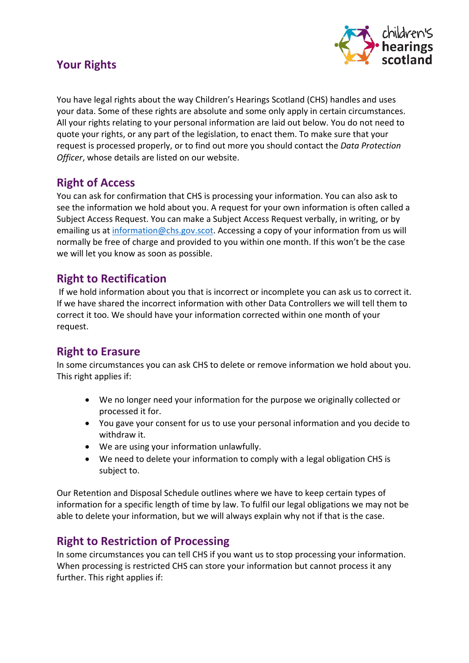

#### **Your Rights**

You have legal rights about the way Children's Hearings Scotland (CHS) handles and uses your data. Some of these rights are absolute and some only apply in certain circumstances. All your rights relating to your personal information are laid out below. You do not need to quote your rights, or any part of the legislation, to enact them. To make sure that your request is processed properly, or to find out more you should contact the *Data Protection Officer*, whose details are listed on our website.

## **Right of Access**

You can ask for confirmation that CHS is processing your information. You can also ask to see the information we hold about you. A request for your own information is often called a Subject Access Request. You can make a Subject Access Request verbally, in writing, or by emailing us at [information@chs.gov.scot.](mailto:information@chs.gov.scot) Accessing a copy of your information from us will normally be free of charge and provided to you within one month. If this won't be the case we will let you know as soon as possible.

#### **Right to Rectification**

If we hold information about you that is incorrect or incomplete you can ask us to correct it. If we have shared the incorrect information with other Data Controllers we will tell them to correct it too. We should have your information corrected within one month of your request.

## **Right to Erasure**

In some circumstances you can ask CHS to delete or remove information we hold about you. This right applies if:

- We no longer need your information for the purpose we originally collected or processed it for.
- You gave your consent for us to use your personal information and you decide to withdraw it.
- We are using your information unlawfully.
- We need to delete your information to comply with a legal obligation CHS is subject to.

Our Retention and Disposal Schedule outlines where we have to keep certain types of information for a specific length of time by law. To fulfil our legal obligations we may not be able to delete your information, but we will always explain why not if that is the case.

## **Right to Restriction of Processing**

In some circumstances you can tell CHS if you want us to stop processing your information. When processing is restricted CHS can store your information but cannot process it any further. This right applies if: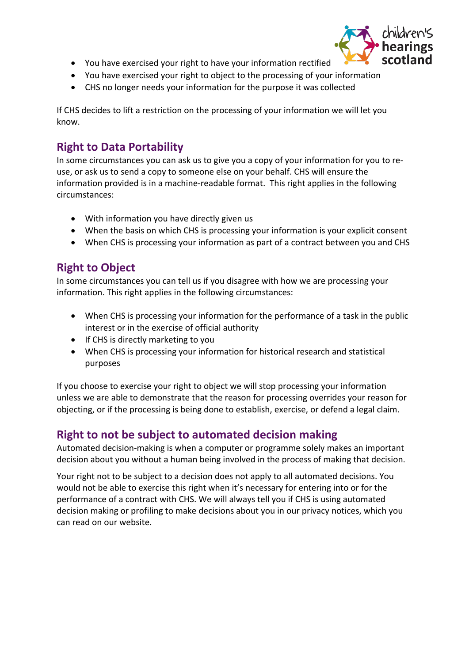

- You have exercised your right to have your information rectified
- You have exercised your right to object to the processing of your information
- CHS no longer needs your information for the purpose it was collected

If CHS decides to lift a restriction on the processing of your information we will let you know.

# **Right to Data Portability**

In some circumstances you can ask us to give you a copy of your information for you to reuse, or ask us to send a copy to someone else on your behalf. CHS will ensure the information provided is in a machine-readable format. This right applies in the following circumstances:

- With information you have directly given us
- When the basis on which CHS is processing your information is your explicit consent
- When CHS is processing your information as part of a contract between you and CHS

# **Right to Object**

In some circumstances you can tell us if you disagree with how we are processing your information. This right applies in the following circumstances:

- When CHS is processing your information for the performance of a task in the public interest or in the exercise of official authority
- If CHS is directly marketing to you
- When CHS is processing your information for historical research and statistical purposes

If you choose to exercise your right to object we will stop processing your information unless we are able to demonstrate that the reason for processing overrides your reason for objecting, or if the processing is being done to establish, exercise, or defend a legal claim.

# **Right to not be subject to automated decision making**

Automated decision-making is when a computer or programme solely makes an important decision about you without a human being involved in the process of making that decision.

Your right not to be subject to a decision does not apply to all automated decisions. You would not be able to exercise this right when it's necessary for entering into or for the performance of a contract with CHS. We will always tell you if CHS is using automated decision making or profiling to make decisions about you in our privacy notices, which you can read on our website.